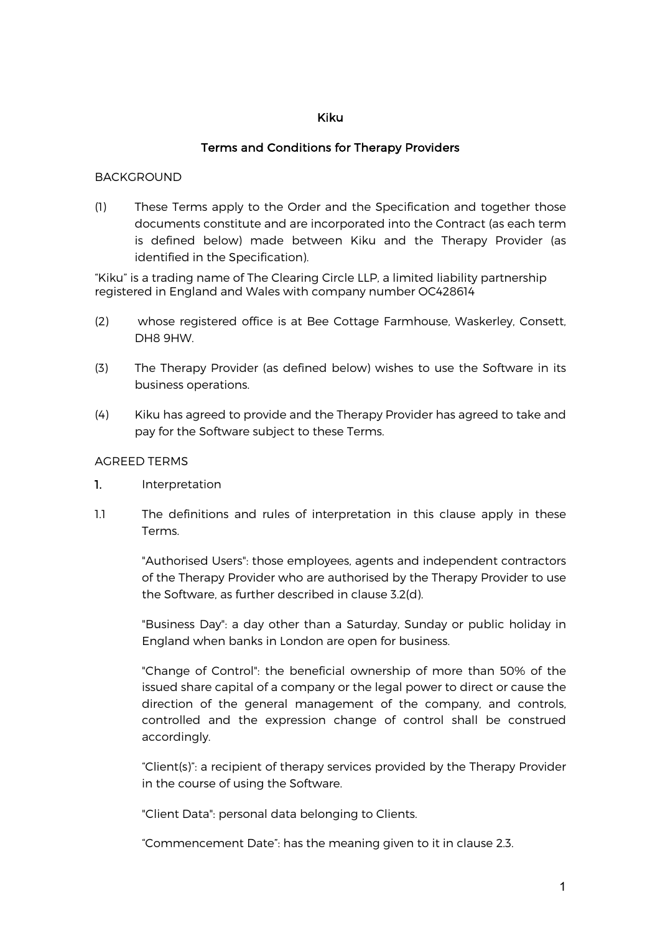## Kiku

# Terms and Conditions for Therapy Providers

#### BACKGROUND

(1) These Terms apply to the Order and the Specification and together those documents constitute and are incorporated into the Contract (as each term is defined below) made between Kiku and the Therapy Provider (as identified in the Specification).

"Kiku" is a trading name of The Clearing Circle LLP, a limited liability partnership registered in England and Wales with company number OC428614

- (2) whose registered office is at Bee Cottage Farmhouse, Waskerley, Consett, DH8 9HW.
- (3) The Therapy Provider (as defined below) wishes to use the Software in its business operations.
- (4) Kiku has agreed to provide and the Therapy Provider has agreed to take and pay for the Software subject to these Terms.

#### AGREED TERMS

- 1. Interpretation
- 1.1 The definitions and rules of interpretation in this clause apply in these Terms.

"Authorised Users": those employees, agents and independent contractors of the Therapy Provider who are authorised by the Therapy Provider to use the Software, as further described in clause 3.2(d).

"Business Day": a day other than a Saturday, Sunday or public holiday in England when banks in London are open for business.

"Change of Control": the beneficial ownership of more than 50% of the issued share capital of a company or the legal power to direct or cause the direction of the general management of the company, and controls, controlled and the expression change of control shall be construed accordingly.

"Client(s)": a recipient of therapy services provided by the Therapy Provider in the course of using the Software.

"Client Data": personal data belonging to Clients.

"Commencement Date": has the meaning given to it in clause 2.3.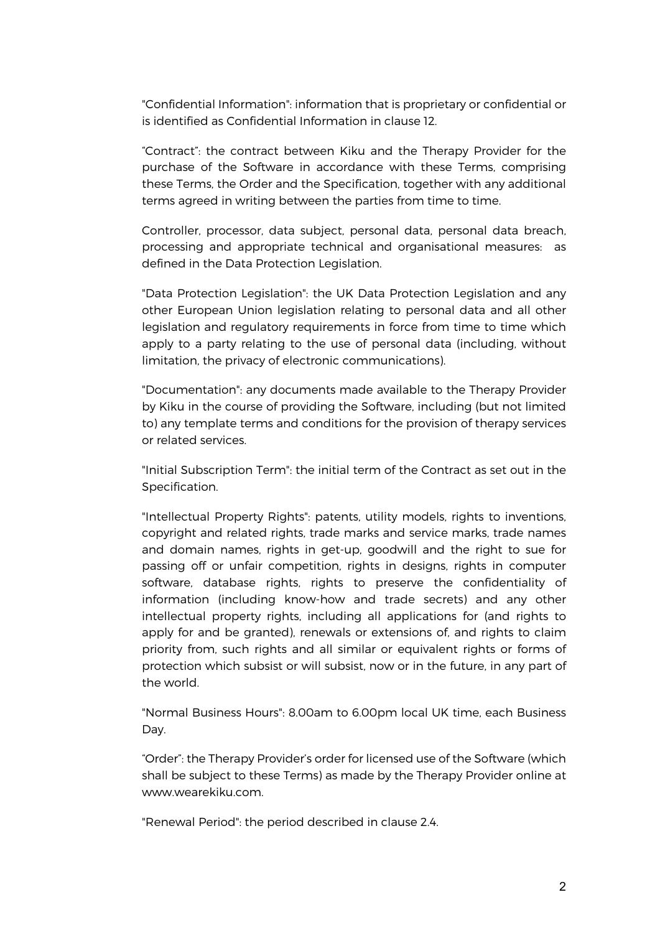"Confidential Information": information that is proprietary or confidential or is identified as Confidential Information in clause 12.

"Contract": the contract between Kiku and the Therapy Provider for the purchase of the Software in accordance with these Terms, comprising these Terms, the Order and the Specification, together with any additional terms agreed in writing between the parties from time to time.

Controller, processor, data subject, personal data, personal data breach, processing and appropriate technical and organisational measures: as defined in the Data Protection Legislation.

"Data Protection Legislation": the UK Data Protection Legislation and any other European Union legislation relating to personal data and all other legislation and regulatory requirements in force from time to time which apply to a party relating to the use of personal data (including, without limitation, the privacy of electronic communications).

"Documentation": any documents made available to the Therapy Provider by Kiku in the course of providing the Software, including (but not limited to) any template terms and conditions for the provision of therapy services or related services.

"Initial Subscription Term": the initial term of the Contract as set out in the Specification.

"Intellectual Property Rights": patents, utility models, rights to inventions, copyright and related rights, trade marks and service marks, trade names and domain names, rights in get-up, goodwill and the right to sue for passing off or unfair competition, rights in designs, rights in computer software, database rights, rights to preserve the confidentiality of information (including know-how and trade secrets) and any other intellectual property rights, including all applications for (and rights to apply for and be granted), renewals or extensions of, and rights to claim priority from, such rights and all similar or equivalent rights or forms of protection which subsist or will subsist, now or in the future, in any part of the world.

"Normal Business Hours": 8.00am to 6.00pm local UK time, each Business Day.

"Order": the Therapy Provider's order for licensed use of the Software (which shall be subject to these Terms) as made by the Therapy Provider online at www.wearekiku.com.

"Renewal Period": the period described in clause 2.4.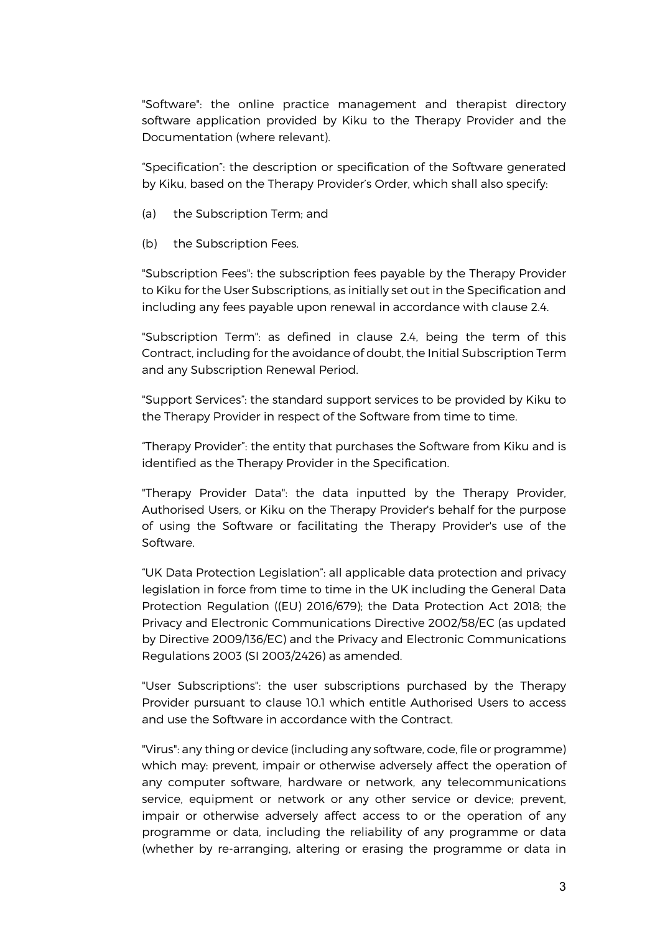"Software": the online practice management and therapist directory software application provided by Kiku to the Therapy Provider and the Documentation (where relevant).

"Specification": the description or specification of the Software generated by Kiku, based on the Therapy Provider's Order, which shall also specify:

- (a) the Subscription Term; and
- (b) the Subscription Fees.

"Subscription Fees": the subscription fees payable by the Therapy Provider to Kiku for the User Subscriptions, as initially set out in the Specification and including any fees payable upon renewal in accordance with clause 2.4.

"Subscription Term": as defined in clause 2.4, being the term of this Contract, including for the avoidance of doubt, the Initial Subscription Term and any Subscription Renewal Period.

"Support Services": the standard support services to be provided by Kiku to the Therapy Provider in respect of the Software from time to time.

"Therapy Provider": the entity that purchases the Software from Kiku and is identified as the Therapy Provider in the Specification.

"Therapy Provider Data": the data inputted by the Therapy Provider, Authorised Users, or Kiku on the Therapy Provider's behalf for the purpose of using the Software or facilitating the Therapy Provider's use of the Software.

"UK Data Protection Legislation": all applicable data protection and privacy legislation in force from time to time in the UK including the General Data Protection Regulation ((EU) 2016/679); the Data Protection Act 2018; the Privacy and Electronic Communications Directive 2002/58/EC (as updated by Directive 2009/136/EC) and the Privacy and Electronic Communications Regulations 2003 (SI 2003/2426) as amended.

"User Subscriptions": the user subscriptions purchased by the Therapy Provider pursuant to clause 10.1 which entitle Authorised Users to access and use the Software in accordance with the Contract.

"Virus": any thing or device (including any software, code, file or programme) which may: prevent, impair or otherwise adversely affect the operation of any computer software, hardware or network, any telecommunications service, equipment or network or any other service or device; prevent, impair or otherwise adversely affect access to or the operation of any programme or data, including the reliability of any programme or data (whether by re-arranging, altering or erasing the programme or data in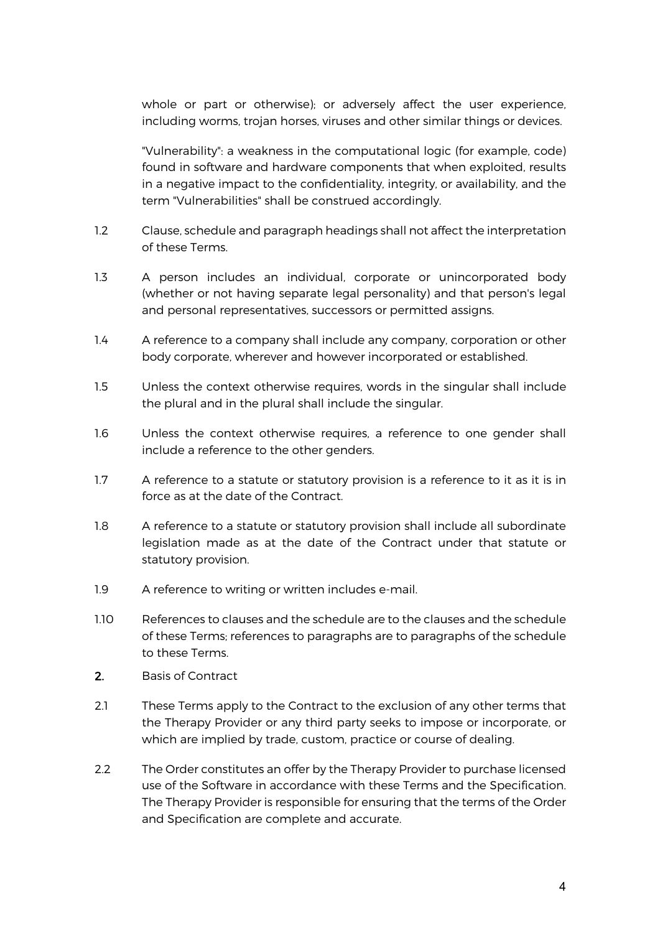whole or part or otherwise); or adversely affect the user experience, including worms, trojan horses, viruses and other similar things or devices.

"Vulnerability": a weakness in the computational logic (for example, code) found in software and hardware components that when exploited, results in a negative impact to the confidentiality, integrity, or availability, and the term "Vulnerabilities" shall be construed accordingly.

- 1.2 Clause, schedule and paragraph headings shall not affect the interpretation of these Terms.
- 1.3 A person includes an individual, corporate or unincorporated body (whether or not having separate legal personality) and that person's legal and personal representatives, successors or permitted assigns.
- 1.4 A reference to a company shall include any company, corporation or other body corporate, wherever and however incorporated or established.
- 1.5 Unless the context otherwise requires, words in the singular shall include the plural and in the plural shall include the singular.
- 1.6 Unless the context otherwise requires, a reference to one gender shall include a reference to the other genders.
- 1.7 A reference to a statute or statutory provision is a reference to it as it is in force as at the date of the Contract.
- 1.8 A reference to a statute or statutory provision shall include all subordinate legislation made as at the date of the Contract under that statute or statutory provision.
- 1.9 A reference to writing or written includes e-mail.
- 1.10 References to clauses and the schedule are to the clauses and the schedule of these Terms; references to paragraphs are to paragraphs of the schedule to these Terms.
- 2. Basis of Contract
- 2.1 These Terms apply to the Contract to the exclusion of any other terms that the Therapy Provider or any third party seeks to impose or incorporate, or which are implied by trade, custom, practice or course of dealing.
- 2.2 The Order constitutes an offer by the Therapy Provider to purchase licensed use of the Software in accordance with these Terms and the Specification. The Therapy Provider is responsible for ensuring that the terms of the Order and Specification are complete and accurate.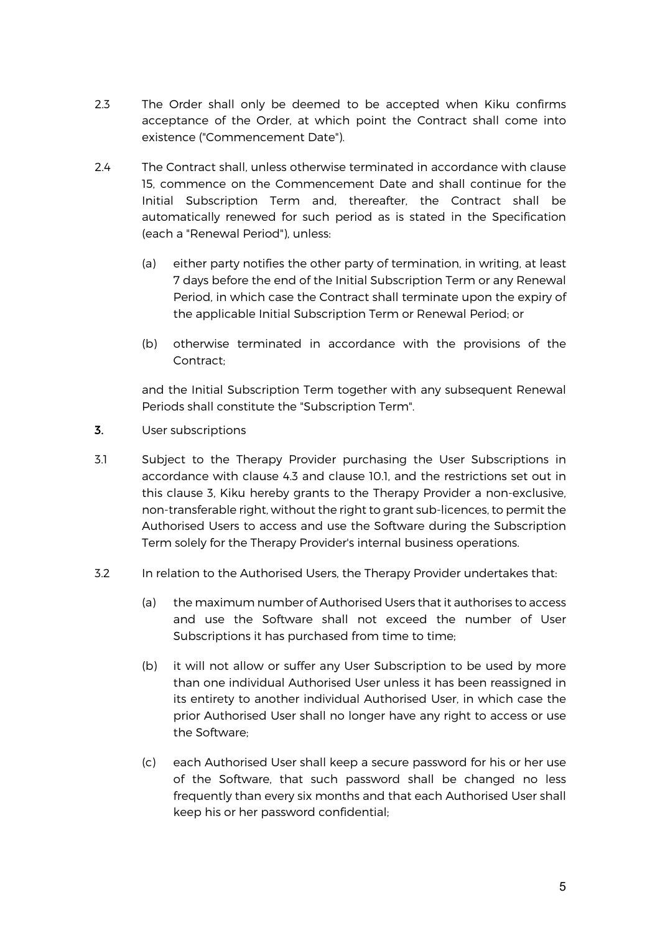- 2.3 The Order shall only be deemed to be accepted when Kiku confirms acceptance of the Order, at which point the Contract shall come into existence ("Commencement Date").
- 2.4 The Contract shall, unless otherwise terminated in accordance with clause 15, commence on the Commencement Date and shall continue for the Initial Subscription Term and, thereafter, the Contract shall be automatically renewed for such period as is stated in the Specification (each a "Renewal Period"), unless:
	- (a) either party notifies the other party of termination, in writing, at least 7 days before the end of the Initial Subscription Term or any Renewal Period, in which case the Contract shall terminate upon the expiry of the applicable Initial Subscription Term or Renewal Period; or
	- (b) otherwise terminated in accordance with the provisions of the Contract;

and the Initial Subscription Term together with any subsequent Renewal Periods shall constitute the "Subscription Term".

- 3. User subscriptions
- 3.1 Subject to the Therapy Provider purchasing the User Subscriptions in accordance with clause 4.3 and clause 10.1, and the restrictions set out in this clause 3, Kiku hereby grants to the Therapy Provider a non-exclusive, non-transferable right, without the right to grant sub-licences, to permit the Authorised Users to access and use the Software during the Subscription Term solely for the Therapy Provider's internal business operations.
- 3.2 In relation to the Authorised Users, the Therapy Provider undertakes that:
	- (a) the maximum number of Authorised Users that it authorises to access and use the Software shall not exceed the number of User Subscriptions it has purchased from time to time;
	- (b) it will not allow or suffer any User Subscription to be used by more than one individual Authorised User unless it has been reassigned in its entirety to another individual Authorised User, in which case the prior Authorised User shall no longer have any right to access or use the Software;
	- (c) each Authorised User shall keep a secure password for his or her use of the Software, that such password shall be changed no less frequently than every six months and that each Authorised User shall keep his or her password confidential;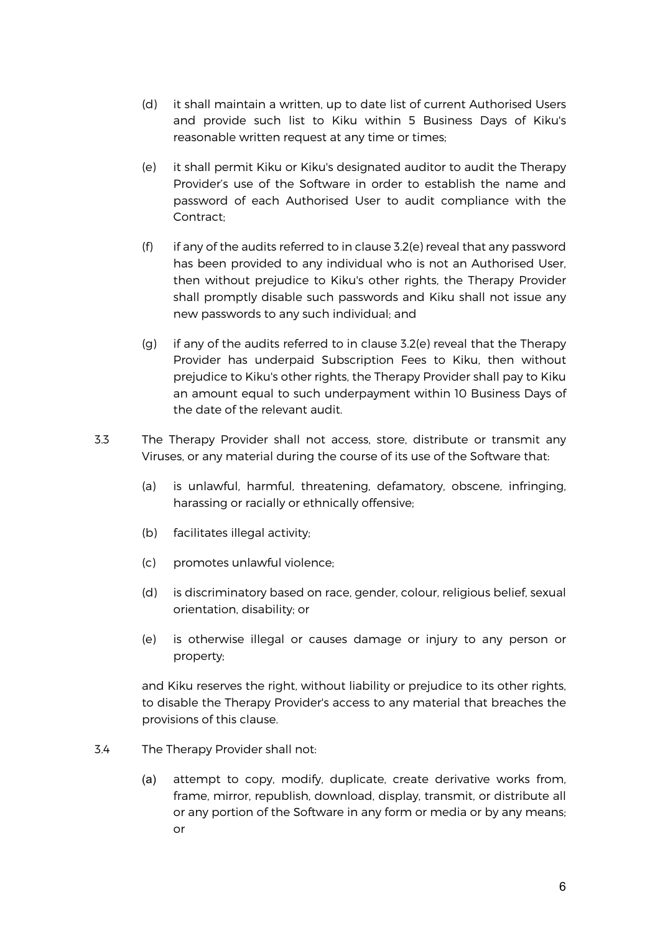- (d) it shall maintain a written, up to date list of current Authorised Users and provide such list to Kiku within 5 Business Days of Kiku's reasonable written request at any time or times;
- (e) it shall permit Kiku or Kiku's designated auditor to audit the Therapy Provider's use of the Software in order to establish the name and password of each Authorised User to audit compliance with the Contract;
- (f) if any of the audits referred to in clause 3.2(e) reveal that any password has been provided to any individual who is not an Authorised User, then without prejudice to Kiku's other rights, the Therapy Provider shall promptly disable such passwords and Kiku shall not issue any new passwords to any such individual; and
- (q) if any of the audits referred to in clause  $3.2$ (e) reveal that the Therapy Provider has underpaid Subscription Fees to Kiku, then without prejudice to Kiku's other rights, the Therapy Provider shall pay to Kiku an amount equal to such underpayment within 10 Business Days of the date of the relevant audit.
- 3.3 The Therapy Provider shall not access, store, distribute or transmit any Viruses, or any material during the course of its use of the Software that:
	- (a) is unlawful, harmful, threatening, defamatory, obscene, infringing, harassing or racially or ethnically offensive;
	- (b) facilitates illegal activity;
	- (c) promotes unlawful violence;
	- (d) is discriminatory based on race, gender, colour, religious belief, sexual orientation, disability; or
	- (e) is otherwise illegal or causes damage or injury to any person or property;

and Kiku reserves the right, without liability or prejudice to its other rights, to disable the Therapy Provider's access to any material that breaches the provisions of this clause.

- 3.4 The Therapy Provider shall not:
	- (a) attempt to copy, modify, duplicate, create derivative works from, frame, mirror, republish, download, display, transmit, or distribute all or any portion of the Software in any form or media or by any means; or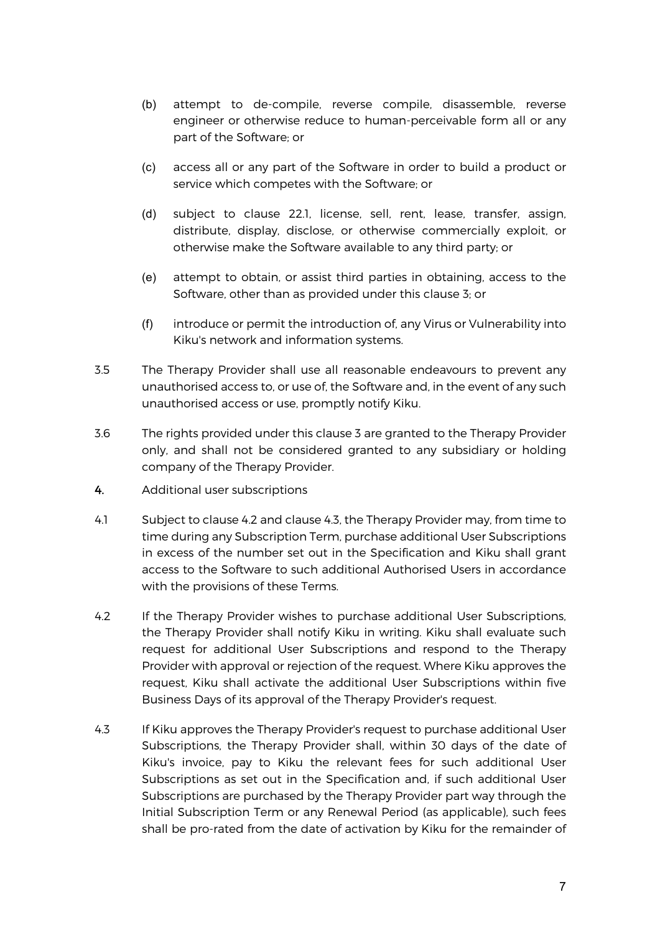- (b) attempt to de-compile, reverse compile, disassemble, reverse engineer or otherwise reduce to human-perceivable form all or any part of the Software; or
- (c) access all or any part of the Software in order to build a product or service which competes with the Software; or
- (d) subject to clause 22.1, license, sell, rent, lease, transfer, assign, distribute, display, disclose, or otherwise commercially exploit, or otherwise make the Software available to any third party; or
- (e) attempt to obtain, or assist third parties in obtaining, access to the Software, other than as provided under this clause 3; or
- (f) introduce or permit the introduction of, any Virus or Vulnerability into Kiku's network and information systems.
- 3.5 The Therapy Provider shall use all reasonable endeavours to prevent any unauthorised access to, or use of, the Software and, in the event of any such unauthorised access or use, promptly notify Kiku.
- 3.6 The rights provided under this clause 3 are granted to the Therapy Provider only, and shall not be considered granted to any subsidiary or holding company of the Therapy Provider.
- 4. Additional user subscriptions
- 4.1 Subject to clause 4.2 and clause 4.3, the Therapy Provider may, from time to time during any Subscription Term, purchase additional User Subscriptions in excess of the number set out in the Specification and Kiku shall grant access to the Software to such additional Authorised Users in accordance with the provisions of these Terms.
- 4.2 If the Therapy Provider wishes to purchase additional User Subscriptions, the Therapy Provider shall notify Kiku in writing. Kiku shall evaluate such request for additional User Subscriptions and respond to the Therapy Provider with approval or rejection of the request. Where Kiku approves the request, Kiku shall activate the additional User Subscriptions within five Business Days of its approval of the Therapy Provider's request.
- 4.3 If Kiku approves the Therapy Provider's request to purchase additional User Subscriptions, the Therapy Provider shall, within 30 days of the date of Kiku's invoice, pay to Kiku the relevant fees for such additional User Subscriptions as set out in the Specification and, if such additional User Subscriptions are purchased by the Therapy Provider part way through the Initial Subscription Term or any Renewal Period (as applicable), such fees shall be pro-rated from the date of activation by Kiku for the remainder of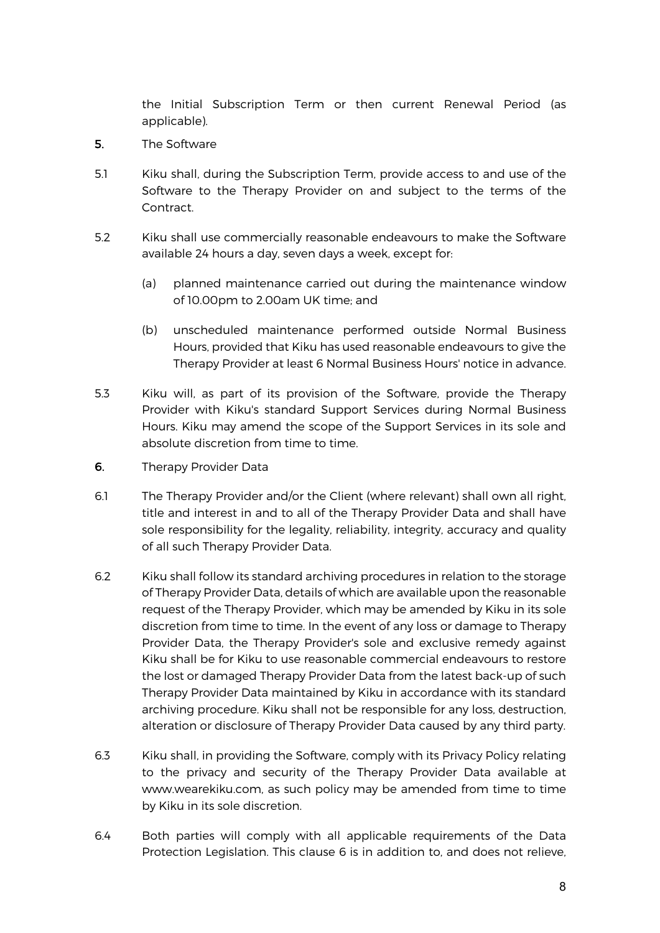the Initial Subscription Term or then current Renewal Period (as applicable).

- 5. The Software
- 5.1 Kiku shall, during the Subscription Term, provide access to and use of the Software to the Therapy Provider on and subject to the terms of the Contract.
- 5.2 Kiku shall use commercially reasonable endeavours to make the Software available 24 hours a day, seven days a week, except for:
	- (a) planned maintenance carried out during the maintenance window of 10.00pm to 2.00am UK time; and
	- (b) unscheduled maintenance performed outside Normal Business Hours, provided that Kiku has used reasonable endeavours to give the Therapy Provider at least 6 Normal Business Hours' notice in advance.
- 5.3 Kiku will, as part of its provision of the Software, provide the Therapy Provider with Kiku's standard Support Services during Normal Business Hours. Kiku may amend the scope of the Support Services in its sole and absolute discretion from time to time.
- 6. Therapy Provider Data
- 6.1 The Therapy Provider and/or the Client (where relevant) shall own all right, title and interest in and to all of the Therapy Provider Data and shall have sole responsibility for the legality, reliability, integrity, accuracy and quality of all such Therapy Provider Data.
- 6.2 Kiku shall follow its standard archiving procedures in relation to the storage of Therapy Provider Data, details of which are available upon the reasonable request of the Therapy Provider, which may be amended by Kiku in its sole discretion from time to time. In the event of any loss or damage to Therapy Provider Data, the Therapy Provider's sole and exclusive remedy against Kiku shall be for Kiku to use reasonable commercial endeavours to restore the lost or damaged Therapy Provider Data from the latest back-up of such Therapy Provider Data maintained by Kiku in accordance with its standard archiving procedure. Kiku shall not be responsible for any loss, destruction, alteration or disclosure of Therapy Provider Data caused by any third party.
- 6.3 Kiku shall, in providing the Software, comply with its Privacy Policy relating to the privacy and security of the Therapy Provider Data available at www.wearekiku.com, as such policy may be amended from time to time by Kiku in its sole discretion.
- 6.4 Both parties will comply with all applicable requirements of the Data Protection Legislation. This clause 6 is in addition to, and does not relieve,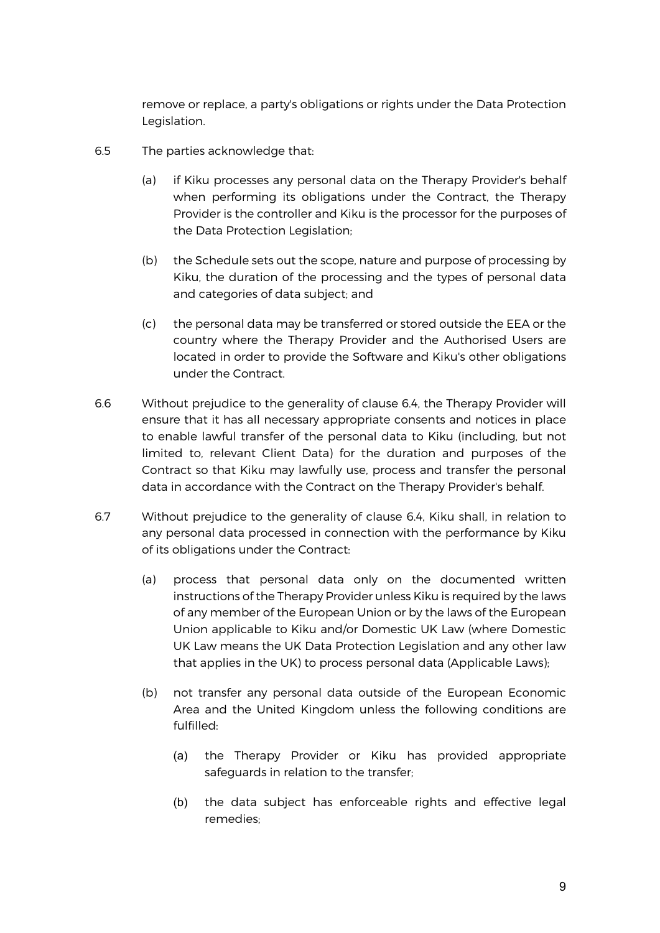remove or replace, a party's obligations or rights under the Data Protection Legislation.

- 6.5 The parties acknowledge that:
	- (a) if Kiku processes any personal data on the Therapy Provider's behalf when performing its obligations under the Contract, the Therapy Provider is the controller and Kiku is the processor for the purposes of the Data Protection Legislation;
	- (b) the Schedule sets out the scope, nature and purpose of processing by Kiku, the duration of the processing and the types of personal data and categories of data subject; and
	- (c) the personal data may be transferred or stored outside the EEA or the country where the Therapy Provider and the Authorised Users are located in order to provide the Software and Kiku's other obligations under the Contract.
- 6.6 Without prejudice to the generality of clause 6.4, the Therapy Provider will ensure that it has all necessary appropriate consents and notices in place to enable lawful transfer of the personal data to Kiku (including, but not limited to, relevant Client Data) for the duration and purposes of the Contract so that Kiku may lawfully use, process and transfer the personal data in accordance with the Contract on the Therapy Provider's behalf.
- 6.7 Without prejudice to the generality of clause 6.4, Kiku shall, in relation to any personal data processed in connection with the performance by Kiku of its obligations under the Contract:
	- (a) process that personal data only on the documented written instructions of the Therapy Provider unless Kiku is required by the laws of any member of the European Union or by the laws of the European Union applicable to Kiku and/or Domestic UK Law (where Domestic UK Law means the UK Data Protection Legislation and any other law that applies in the UK) to process personal data (Applicable Laws);
	- (b) not transfer any personal data outside of the European Economic Area and the United Kingdom unless the following conditions are fulfilled:
		- (a) the Therapy Provider or Kiku has provided appropriate safeguards in relation to the transfer;
		- (b) the data subject has enforceable rights and effective legal remedies;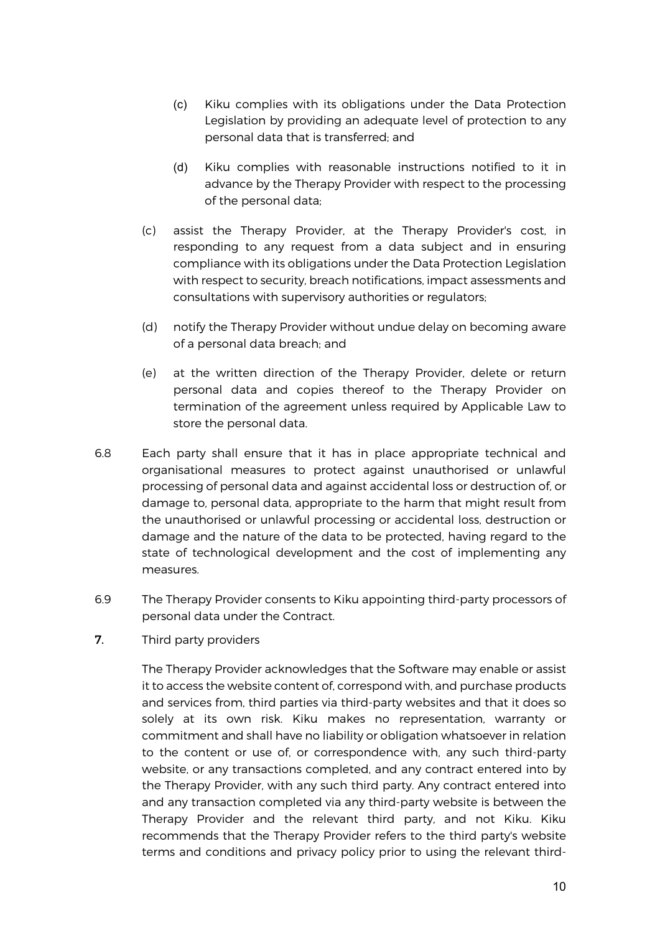- (c) Kiku complies with its obligations under the Data Protection Legislation by providing an adequate level of protection to any personal data that is transferred; and
- (d) Kiku complies with reasonable instructions notified to it in advance by the Therapy Provider with respect to the processing of the personal data;
- (c) assist the Therapy Provider, at the Therapy Provider's cost, in responding to any request from a data subject and in ensuring compliance with its obligations under the Data Protection Legislation with respect to security, breach notifications, impact assessments and consultations with supervisory authorities or regulators;
- (d) notify the Therapy Provider without undue delay on becoming aware of a personal data breach; and
- (e) at the written direction of the Therapy Provider, delete or return personal data and copies thereof to the Therapy Provider on termination of the agreement unless required by Applicable Law to store the personal data.
- 6.8 Each party shall ensure that it has in place appropriate technical and organisational measures to protect against unauthorised or unlawful processing of personal data and against accidental loss or destruction of, or damage to, personal data, appropriate to the harm that might result from the unauthorised or unlawful processing or accidental loss, destruction or damage and the nature of the data to be protected, having regard to the state of technological development and the cost of implementing any measures.
- 6.9 The Therapy Provider consents to Kiku appointing third-party processors of personal data under the Contract.
- 7. Third party providers

The Therapy Provider acknowledges that the Software may enable or assist it to access the website content of, correspond with, and purchase products and services from, third parties via third-party websites and that it does so solely at its own risk. Kiku makes no representation, warranty or commitment and shall have no liability or obligation whatsoever in relation to the content or use of, or correspondence with, any such third-party website, or any transactions completed, and any contract entered into by the Therapy Provider, with any such third party. Any contract entered into and any transaction completed via any third-party website is between the Therapy Provider and the relevant third party, and not Kiku. Kiku recommends that the Therapy Provider refers to the third party's website terms and conditions and privacy policy prior to using the relevant third-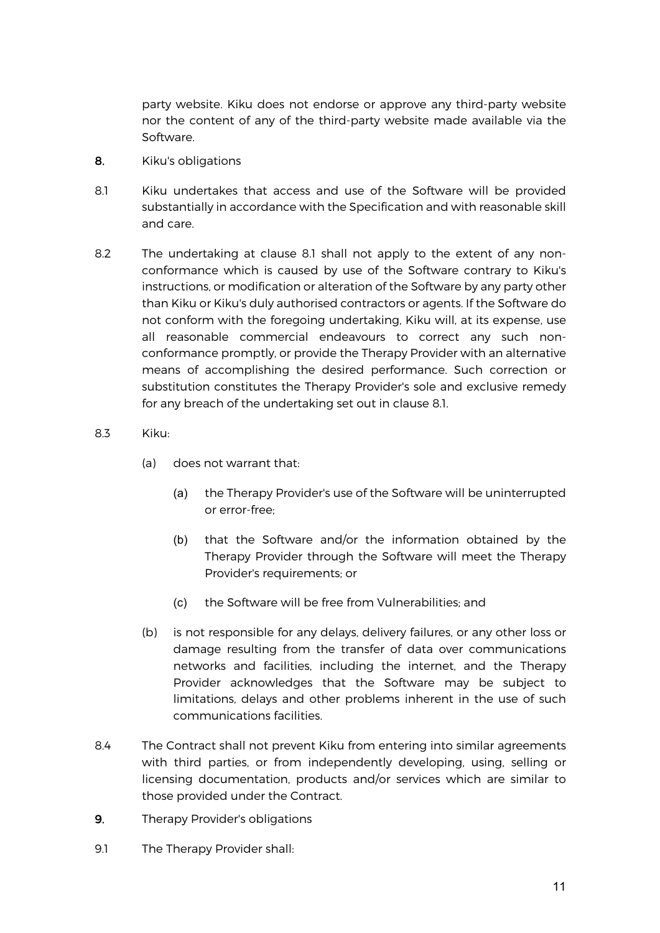party website. Kiku does not endorse or approve any third-party website nor the content of any of the third-party website made available via the Software.

- 8. Kiku's obligations
- 8.1 Kiku undertakes that access and use of the Software will be provided substantially in accordance with the Specification and with reasonable skill and care.
- 8.2 The undertaking at clause 8.1 shall not apply to the extent of any nonconformance which is caused by use of the Software contrary to Kiku's instructions, or modification or alteration of the Software by any party other than Kiku or Kiku's duly authorised contractors or agents. If the Software do not conform with the foregoing undertaking, Kiku will, at its expense, use all reasonable commercial endeavours to correct any such nonconformance promptly, or provide the Therapy Provider with an alternative means of accomplishing the desired performance. Such correction or substitution constitutes the Therapy Provider's sole and exclusive remedy for any breach of the undertaking set out in clause 8.1.
- 8.3 Kiku:
	- (a) does not warrant that:
		- (a) the Therapy Provider's use of the Software will be uninterrupted or error-free;
		- (b) that the Software and/or the information obtained by the Therapy Provider through the Software will meet the Therapy Provider's requirements; or
		- (c) the Software will be free from Vulnerabilities; and
	- (b) is not responsible for any delays, delivery failures, or any other loss or damage resulting from the transfer of data over communications networks and facilities, including the internet, and the Therapy Provider acknowledges that the Software may be subject to limitations, delays and other problems inherent in the use of such communications facilities.
- 8.4 The Contract shall not prevent Kiku from entering into similar agreements with third parties, or from independently developing, using, selling or licensing documentation, products and/or services which are similar to those provided under the Contract.
- 9. Therapy Provider's obligations
- 9.1 The Therapy Provider shall: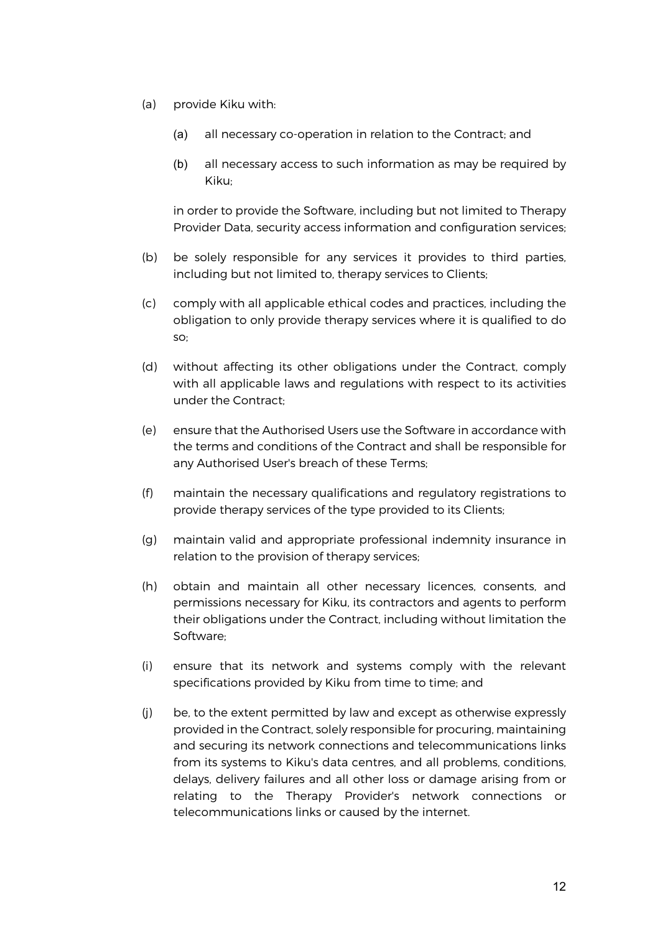- (a) provide Kiku with:
	- (a) all necessary co-operation in relation to the Contract; and
	- (b) all necessary access to such information as may be required by Kiku;

in order to provide the Software, including but not limited to Therapy Provider Data, security access information and configuration services;

- (b) be solely responsible for any services it provides to third parties, including but not limited to, therapy services to Clients;
- (c) comply with all applicable ethical codes and practices, including the obligation to only provide therapy services where it is qualified to do so;
- (d) without affecting its other obligations under the Contract, comply with all applicable laws and regulations with respect to its activities under the Contract;
- (e) ensure that the Authorised Users use the Software in accordance with the terms and conditions of the Contract and shall be responsible for any Authorised User's breach of these Terms;
- (f) maintain the necessary qualifications and regulatory registrations to provide therapy services of the type provided to its Clients;
- (g) maintain valid and appropriate professional indemnity insurance in relation to the provision of therapy services;
- (h) obtain and maintain all other necessary licences, consents, and permissions necessary for Kiku, its contractors and agents to perform their obligations under the Contract, including without limitation the Software;
- (i) ensure that its network and systems comply with the relevant specifications provided by Kiku from time to time; and
- (j) be, to the extent permitted by law and except as otherwise expressly provided in the Contract, solely responsible for procuring, maintaining and securing its network connections and telecommunications links from its systems to Kiku's data centres, and all problems, conditions, delays, delivery failures and all other loss or damage arising from or relating to the Therapy Provider's network connections or telecommunications links or caused by the internet.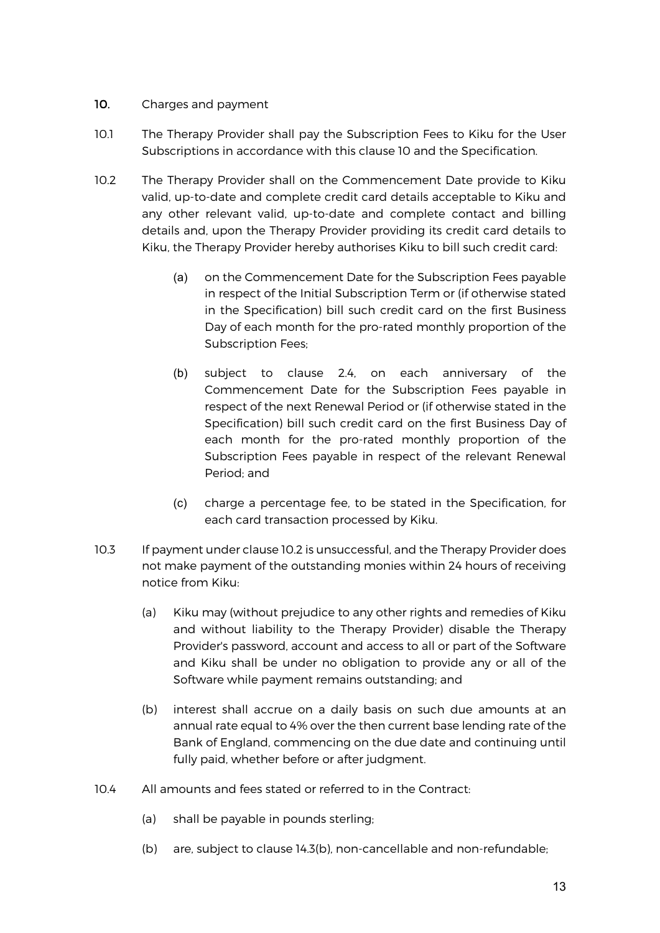# 10. Charges and payment

- 10.1 The Therapy Provider shall pay the Subscription Fees to Kiku for the User Subscriptions in accordance with this clause 10 and the Specification.
- 10.2 The Therapy Provider shall on the Commencement Date provide to Kiku valid, up-to-date and complete credit card details acceptable to Kiku and any other relevant valid, up-to-date and complete contact and billing details and, upon the Therapy Provider providing its credit card details to Kiku, the Therapy Provider hereby authorises Kiku to bill such credit card:
	- (a) on the Commencement Date for the Subscription Fees payable in respect of the Initial Subscription Term or (if otherwise stated in the Specification) bill such credit card on the first Business Day of each month for the pro-rated monthly proportion of the Subscription Fees;
	- (b) subject to clause 2.4, on each anniversary of the Commencement Date for the Subscription Fees payable in respect of the next Renewal Period or (if otherwise stated in the Specification) bill such credit card on the first Business Day of each month for the pro-rated monthly proportion of the Subscription Fees payable in respect of the relevant Renewal Period; and
	- (c) charge a percentage fee, to be stated in the Specification, for each card transaction processed by Kiku.
- 10.3 If payment under clause 10.2 is unsuccessful, and the Therapy Provider does not make payment of the outstanding monies within 24 hours of receiving notice from Kiku:
	- (a) Kiku may (without prejudice to any other rights and remedies of Kiku and without liability to the Therapy Provider) disable the Therapy Provider's password, account and access to all or part of the Software and Kiku shall be under no obligation to provide any or all of the Software while payment remains outstanding; and
	- (b) interest shall accrue on a daily basis on such due amounts at an annual rate equal to 4% over the then current base lending rate of the Bank of England, commencing on the due date and continuing until fully paid, whether before or after judgment.
- 10.4 All amounts and fees stated or referred to in the Contract:
	- (a) shall be payable in pounds sterling;
	- (b) are, subject to clause 14.3(b), non-cancellable and non-refundable;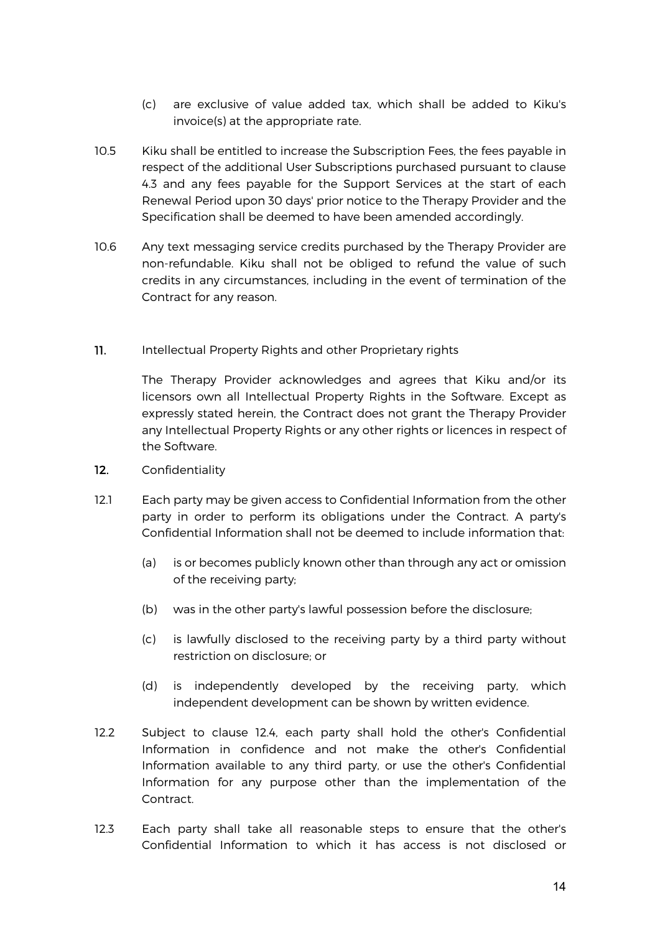- (c) are exclusive of value added tax, which shall be added to Kiku's invoice(s) at the appropriate rate.
- 10.5 Kiku shall be entitled to increase the Subscription Fees, the fees payable in respect of the additional User Subscriptions purchased pursuant to clause 4.3 and any fees payable for the Support Services at the start of each Renewal Period upon 30 days' prior notice to the Therapy Provider and the Specification shall be deemed to have been amended accordingly.
- 10.6 Any text messaging service credits purchased by the Therapy Provider are non-refundable. Kiku shall not be obliged to refund the value of such credits in any circumstances, including in the event of termination of the Contract for any reason.
- 11. Intellectual Property Rights and other Proprietary rights

The Therapy Provider acknowledges and agrees that Kiku and/or its licensors own all Intellectual Property Rights in the Software. Except as expressly stated herein, the Contract does not grant the Therapy Provider any Intellectual Property Rights or any other rights or licences in respect of the Software.

- 12. Confidentiality
- 12.1 Each party may be given access to Confidential Information from the other party in order to perform its obligations under the Contract. A party's Confidential Information shall not be deemed to include information that:
	- (a) is or becomes publicly known other than through any act or omission of the receiving party;
	- (b) was in the other party's lawful possession before the disclosure;
	- (c) is lawfully disclosed to the receiving party by a third party without restriction on disclosure; or
	- (d) is independently developed by the receiving party, which independent development can be shown by written evidence.
- 12.2 Subject to clause 12.4, each party shall hold the other's Confidential Information in confidence and not make the other's Confidential Information available to any third party, or use the other's Confidential Information for any purpose other than the implementation of the Contract.
- 12.3 Each party shall take all reasonable steps to ensure that the other's Confidential Information to which it has access is not disclosed or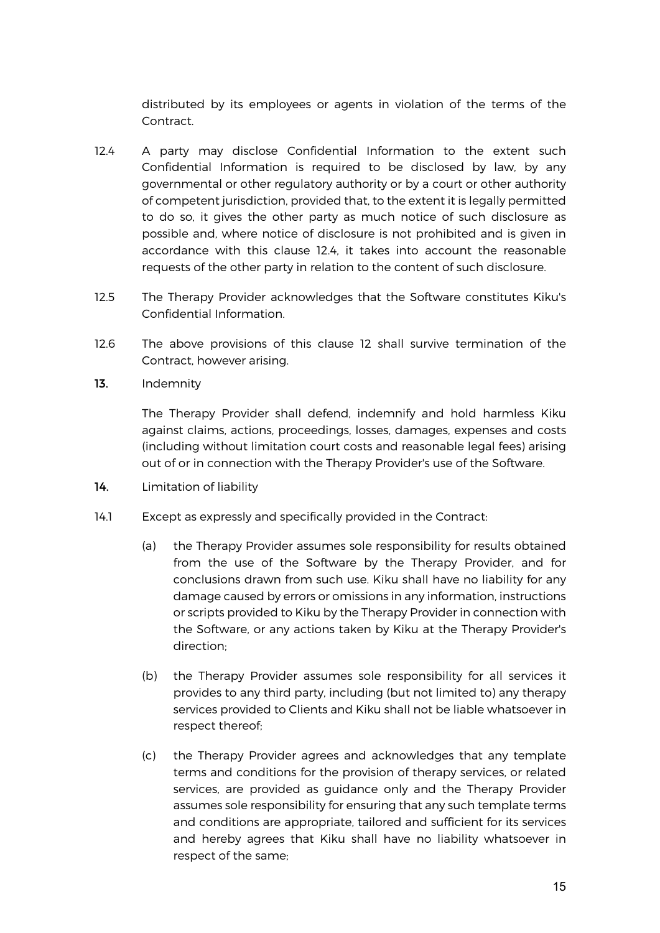distributed by its employees or agents in violation of the terms of the Contract.

- 12.4 A party may disclose Confidential Information to the extent such Confidential Information is required to be disclosed by law, by any governmental or other regulatory authority or by a court or other authority of competent jurisdiction, provided that, to the extent it is legally permitted to do so, it gives the other party as much notice of such disclosure as possible and, where notice of disclosure is not prohibited and is given in accordance with this clause 12.4, it takes into account the reasonable requests of the other party in relation to the content of such disclosure.
- 12.5 The Therapy Provider acknowledges that the Software constitutes Kiku's Confidential Information.
- 12.6 The above provisions of this clause 12 shall survive termination of the Contract, however arising.
- 13. Indemnity

The Therapy Provider shall defend, indemnify and hold harmless Kiku against claims, actions, proceedings, losses, damages, expenses and costs (including without limitation court costs and reasonable legal fees) arising out of or in connection with the Therapy Provider's use of the Software.

- 14. Limitation of liability
- 14.1 Except as expressly and specifically provided in the Contract:
	- (a) the Therapy Provider assumes sole responsibility for results obtained from the use of the Software by the Therapy Provider, and for conclusions drawn from such use. Kiku shall have no liability for any damage caused by errors or omissions in any information, instructions or scripts provided to Kiku by the Therapy Provider in connection with the Software, or any actions taken by Kiku at the Therapy Provider's direction;
	- (b) the Therapy Provider assumes sole responsibility for all services it provides to any third party, including (but not limited to) any therapy services provided to Clients and Kiku shall not be liable whatsoever in respect thereof;
	- (c) the Therapy Provider agrees and acknowledges that any template terms and conditions for the provision of therapy services, or related services, are provided as guidance only and the Therapy Provider assumes sole responsibility for ensuring that any such template terms and conditions are appropriate, tailored and sufficient for its services and hereby agrees that Kiku shall have no liability whatsoever in respect of the same;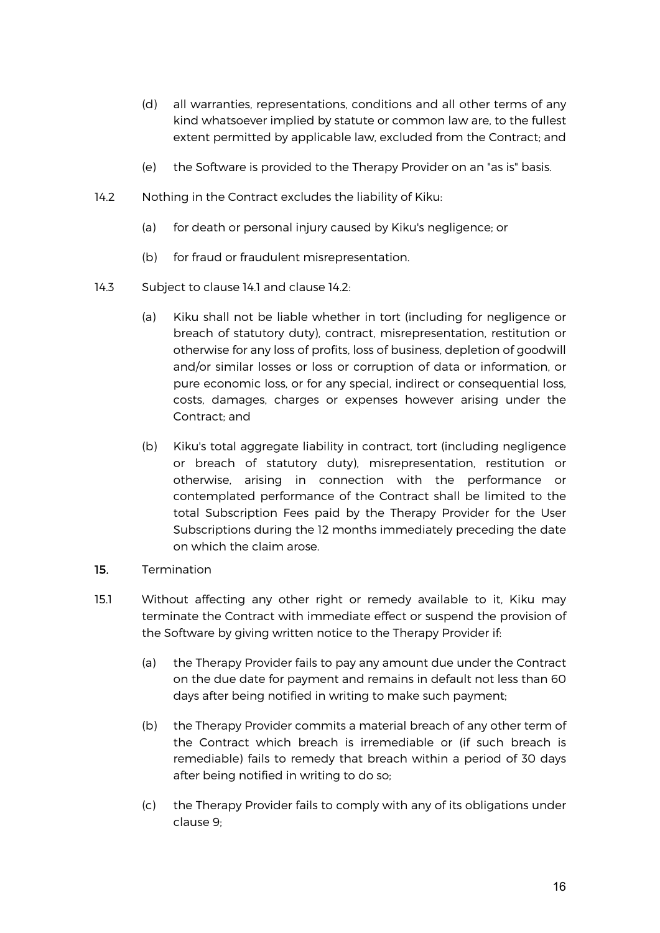- (d) all warranties, representations, conditions and all other terms of any kind whatsoever implied by statute or common law are, to the fullest extent permitted by applicable law, excluded from the Contract; and
- (e) the Software is provided to the Therapy Provider on an "as is" basis.
- 14.2 Nothing in the Contract excludes the liability of Kiku:
	- (a) for death or personal injury caused by Kiku's negligence; or
	- (b) for fraud or fraudulent misrepresentation.
- 14.3 Subject to clause 14.1 and clause 14.2:
	- (a) Kiku shall not be liable whether in tort (including for negligence or breach of statutory duty), contract, misrepresentation, restitution or otherwise for any loss of profits, loss of business, depletion of goodwill and/or similar losses or loss or corruption of data or information, or pure economic loss, or for any special, indirect or consequential loss, costs, damages, charges or expenses however arising under the Contract; and
	- (b) Kiku's total aggregate liability in contract, tort (including negligence or breach of statutory duty), misrepresentation, restitution or otherwise, arising in connection with the performance or contemplated performance of the Contract shall be limited to the total Subscription Fees paid by the Therapy Provider for the User Subscriptions during the 12 months immediately preceding the date on which the claim arose.
- 15. Termination
- 15.1 Without affecting any other right or remedy available to it, Kiku may terminate the Contract with immediate effect or suspend the provision of the Software by giving written notice to the Therapy Provider if:
	- (a) the Therapy Provider fails to pay any amount due under the Contract on the due date for payment and remains in default not less than 60 days after being notified in writing to make such payment;
	- (b) the Therapy Provider commits a material breach of any other term of the Contract which breach is irremediable or (if such breach is remediable) fails to remedy that breach within a period of 30 days after being notified in writing to do so;
	- (c) the Therapy Provider fails to comply with any of its obligations under clause 9;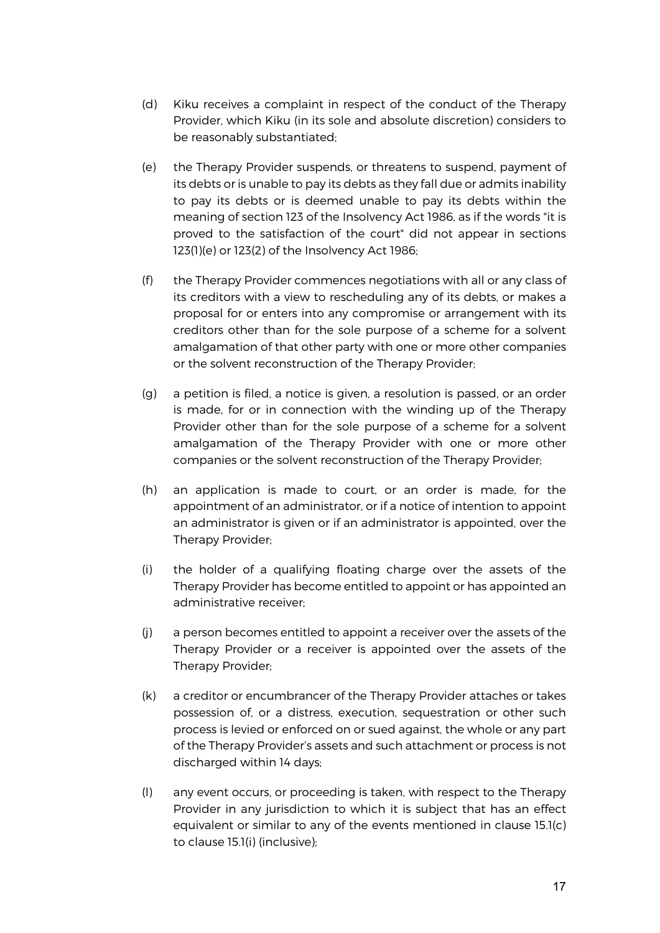- (d) Kiku receives a complaint in respect of the conduct of the Therapy Provider, which Kiku (in its sole and absolute discretion) considers to be reasonably substantiated;
- (e) the Therapy Provider suspends, or threatens to suspend, payment of its debts or is unable to pay its debts as they fall due or admits inability to pay its debts or is deemed unable to pay its debts within the meaning of section 123 of the Insolvency Act 1986, as if the words "it is proved to the satisfaction of the court" did not appear in sections 123(1)(e) or 123(2) of the Insolvency Act 1986;
- (f) the Therapy Provider commences negotiations with all or any class of its creditors with a view to rescheduling any of its debts, or makes a proposal for or enters into any compromise or arrangement with its creditors other than for the sole purpose of a scheme for a solvent amalgamation of that other party with one or more other companies or the solvent reconstruction of the Therapy Provider;
- (g) a petition is filed, a notice is given, a resolution is passed, or an order is made, for or in connection with the winding up of the Therapy Provider other than for the sole purpose of a scheme for a solvent amalgamation of the Therapy Provider with one or more other companies or the solvent reconstruction of the Therapy Provider;
- (h) an application is made to court, or an order is made, for the appointment of an administrator, or if a notice of intention to appoint an administrator is given or if an administrator is appointed, over the Therapy Provider;
- (i) the holder of a qualifying floating charge over the assets of the Therapy Provider has become entitled to appoint or has appointed an administrative receiver;
- (j) a person becomes entitled to appoint a receiver over the assets of the Therapy Provider or a receiver is appointed over the assets of the Therapy Provider;
- (k) a creditor or encumbrancer of the Therapy Provider attaches or takes possession of, or a distress, execution, sequestration or other such process is levied or enforced on or sued against, the whole or any part of the Therapy Provider's assets and such attachment or process is not discharged within 14 days;
- (l) any event occurs, or proceeding is taken, with respect to the Therapy Provider in any jurisdiction to which it is subject that has an effect equivalent or similar to any of the events mentioned in clause 15.1(c) to clause 15.1(i) (inclusive);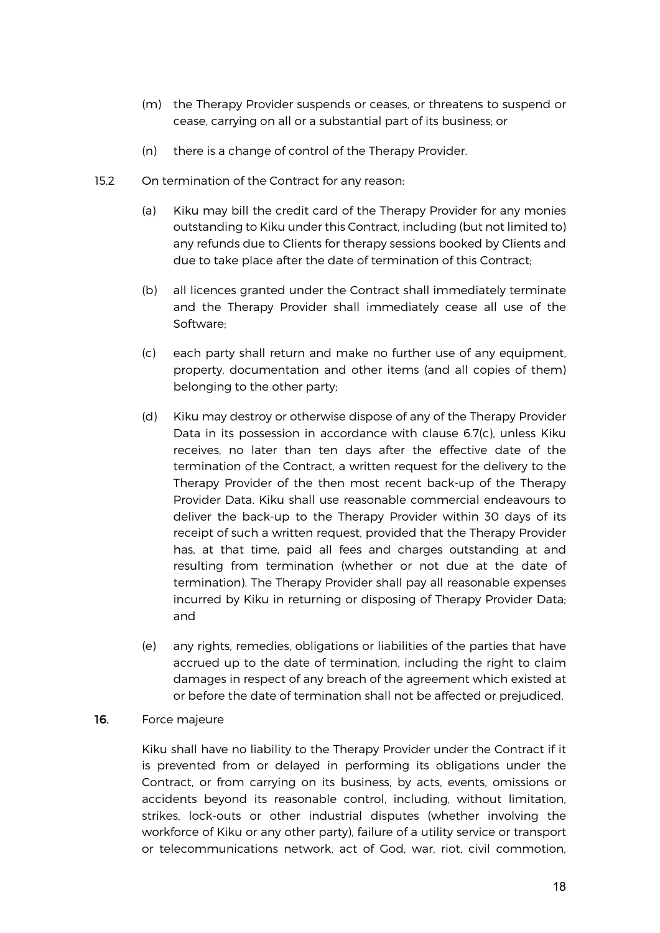- (m) the Therapy Provider suspends or ceases, or threatens to suspend or cease, carrying on all or a substantial part of its business; or
- (n) there is a change of control of the Therapy Provider.
- 15.2 On termination of the Contract for any reason:
	- (a) Kiku may bill the credit card of the Therapy Provider for any monies outstanding to Kiku under this Contract, including (but not limited to) any refunds due to Clients for therapy sessions booked by Clients and due to take place after the date of termination of this Contract;
	- (b) all licences granted under the Contract shall immediately terminate and the Therapy Provider shall immediately cease all use of the Software;
	- (c) each party shall return and make no further use of any equipment, property, documentation and other items (and all copies of them) belonging to the other party;
	- (d) Kiku may destroy or otherwise dispose of any of the Therapy Provider Data in its possession in accordance with clause 6.7(c), unless Kiku receives, no later than ten days after the effective date of the termination of the Contract, a written request for the delivery to the Therapy Provider of the then most recent back-up of the Therapy Provider Data. Kiku shall use reasonable commercial endeavours to deliver the back-up to the Therapy Provider within 30 days of its receipt of such a written request, provided that the Therapy Provider has, at that time, paid all fees and charges outstanding at and resulting from termination (whether or not due at the date of termination). The Therapy Provider shall pay all reasonable expenses incurred by Kiku in returning or disposing of Therapy Provider Data; and
	- (e) any rights, remedies, obligations or liabilities of the parties that have accrued up to the date of termination, including the right to claim damages in respect of any breach of the agreement which existed at or before the date of termination shall not be affected or prejudiced.

#### 16. Force majeure

Kiku shall have no liability to the Therapy Provider under the Contract if it is prevented from or delayed in performing its obligations under the Contract, or from carrying on its business, by acts, events, omissions or accidents beyond its reasonable control, including, without limitation, strikes, lock-outs or other industrial disputes (whether involving the workforce of Kiku or any other party), failure of a utility service or transport or telecommunications network, act of God, war, riot, civil commotion,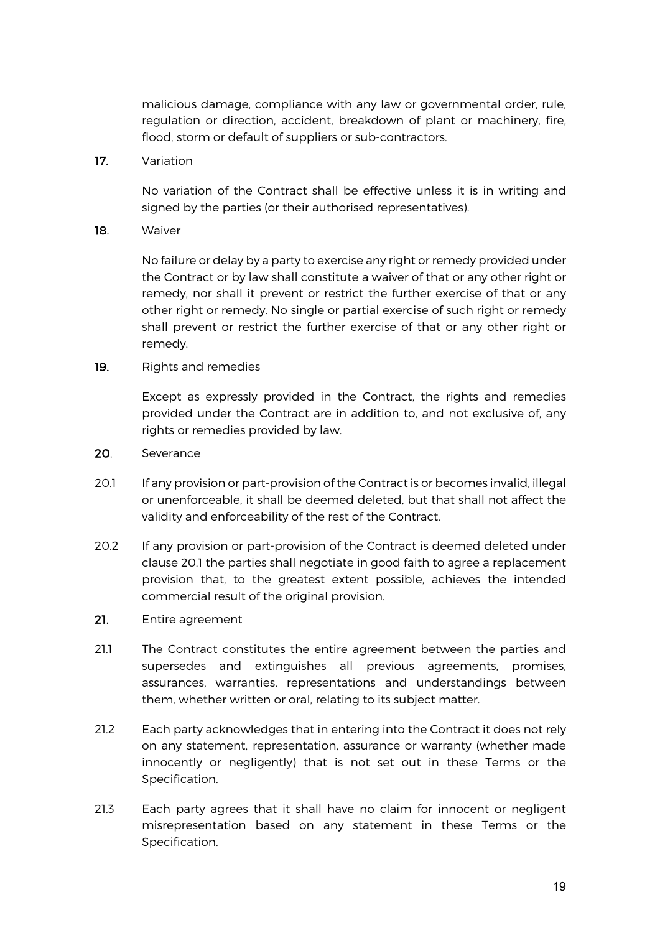malicious damage, compliance with any law or governmental order, rule, regulation or direction, accident, breakdown of plant or machinery, fire, flood, storm or default of suppliers or sub-contractors.

17. Variation

No variation of the Contract shall be effective unless it is in writing and signed by the parties (or their authorised representatives).

18. Waiver

No failure or delay by a party to exercise any right or remedy provided under the Contract or by law shall constitute a waiver of that or any other right or remedy, nor shall it prevent or restrict the further exercise of that or any other right or remedy. No single or partial exercise of such right or remedy shall prevent or restrict the further exercise of that or any other right or remedy.

19. Rights and remedies

Except as expressly provided in the Contract, the rights and remedies provided under the Contract are in addition to, and not exclusive of, any rights or remedies provided by law.

- 20. Severance
- 20.1 If any provision or part-provision of the Contract is or becomes invalid, illegal or unenforceable, it shall be deemed deleted, but that shall not affect the validity and enforceability of the rest of the Contract.
- 20.2 If any provision or part-provision of the Contract is deemed deleted under clause 20.1 the parties shall negotiate in good faith to agree a replacement provision that, to the greatest extent possible, achieves the intended commercial result of the original provision.
- 21. Entire agreement
- 21.1 The Contract constitutes the entire agreement between the parties and supersedes and extinguishes all previous agreements, promises, assurances, warranties, representations and understandings between them, whether written or oral, relating to its subject matter.
- 21.2 Each party acknowledges that in entering into the Contract it does not rely on any statement, representation, assurance or warranty (whether made innocently or negligently) that is not set out in these Terms or the Specification.
- 21.3 Each party agrees that it shall have no claim for innocent or negligent misrepresentation based on any statement in these Terms or the Specification.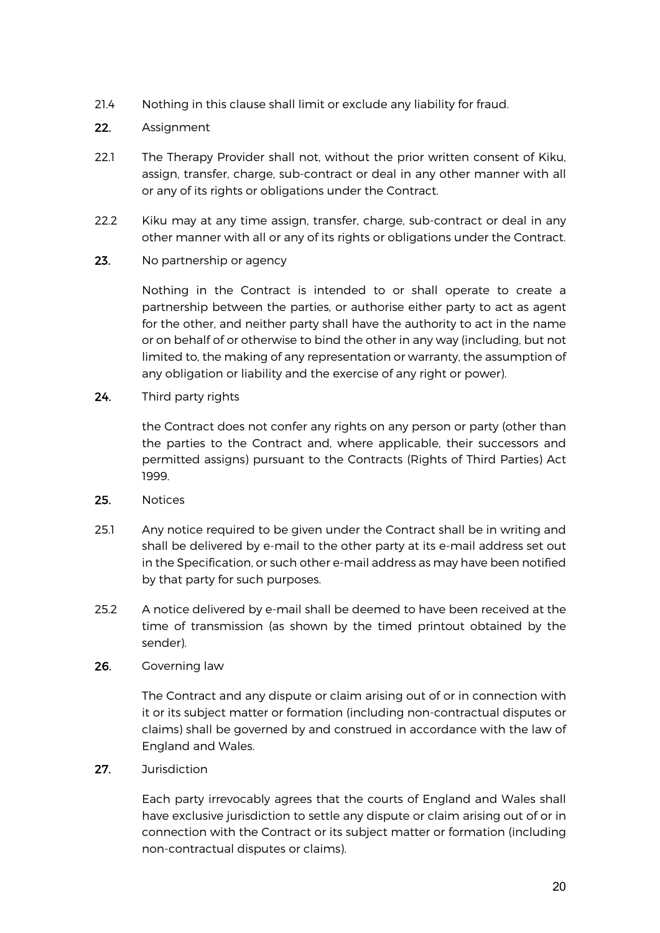21.4 Nothing in this clause shall limit or exclude any liability for fraud.

## 22. Assignment

- 22.1 The Therapy Provider shall not, without the prior written consent of Kiku, assign, transfer, charge, sub-contract or deal in any other manner with all or any of its rights or obligations under the Contract.
- 22.2 Kiku may at any time assign, transfer, charge, sub-contract or deal in any other manner with all or any of its rights or obligations under the Contract.
- 23. No partnership or agency

Nothing in the Contract is intended to or shall operate to create a partnership between the parties, or authorise either party to act as agent for the other, and neither party shall have the authority to act in the name or on behalf of or otherwise to bind the other in any way (including, but not limited to, the making of any representation or warranty, the assumption of any obligation or liability and the exercise of any right or power).

24. Third party rights

the Contract does not confer any rights on any person or party (other than the parties to the Contract and, where applicable, their successors and permitted assigns) pursuant to the Contracts (Rights of Third Parties) Act 1999.

- 25. Notices
- 25.1 Any notice required to be given under the Contract shall be in writing and shall be delivered by e-mail to the other party at its e-mail address set out in the Specification, or such other e-mail address as may have been notified by that party for such purposes.
- 25.2 A notice delivered by e-mail shall be deemed to have been received at the time of transmission (as shown by the timed printout obtained by the sender).
- 26. Governing law

The Contract and any dispute or claim arising out of or in connection with it or its subject matter or formation (including non-contractual disputes or claims) shall be governed by and construed in accordance with the law of England and Wales.

27. Jurisdiction

Each party irrevocably agrees that the courts of England and Wales shall have exclusive jurisdiction to settle any dispute or claim arising out of or in connection with the Contract or its subject matter or formation (including non-contractual disputes or claims).